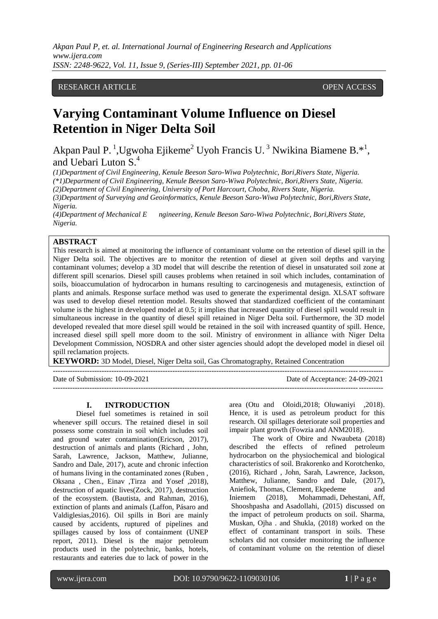# RESEARCH ARTICLE **CONSERVERS** OPEN ACCESS

# **Varying Contaminant Volume Influence on Diesel Retention in Niger Delta Soil**

Akpan Paul P.<sup>1</sup>, Ugwoha Ejikeme<sup>2</sup> Uyoh Francis U.<sup>3</sup> Nwikina Biamene B.<sup>\*1</sup>, and Uebari Luton S.<sup>4</sup>

*(1)Department of Civil Engineering, Kenule Beeson Saro-Wiwa Polytechnic, Bori,Rivers State, Nigeria.*

*(\*1)Department of Civil Engineering, Kenule Beeson Saro-Wiwa Polytechnic, Bori,Rivers State, Nigeria.*

*(2)Department of Civil Engineering, University of Port Harcourt, Choba, Rivers State, Nigeria.*

*(3)Department of Surveying and Geoinformatics, Kenule Beeson Saro-Wiwa Polytechnic, Bori,Rivers State, Nigeria.*

*(4)Department of Mechanical E ngineering, Kenule Beeson Saro-Wiwa Polytechnic, Bori,Rivers State, Nigeria.*

# **ABSTRACT**

This research is aimed at monitoring the influence of contaminant volume on the retention of diesel spill in the Niger Delta soil. The objectives are to monitor the retention of diesel at given soil depths and varying contaminant volumes; develop a 3D model that will describe the retention of diesel in unsaturated soil zone at different spill scenarios. Diesel spill causes problems when retained in soil which includes, contamination of soils, bioaccumulation of hydrocarbon in humans resulting to carcinogenesis and mutagenesis, extinction of plants and animals. Response surface method was used to generate the experimental design. XLSAT software was used to develop diesel retention model. Results showed that standardized coefficient of the contaminant volume is the highest in developed model at 0.5; it implies that increased quantity of diesel spil1 would result in simultaneous increase in the quantity of diesel spill retained in Niger Delta soil. Furthermore, the 3D model developed revealed that more diesel spill would be retained in the soil with increased quantity of spill. Hence, increased diesel spill spell more doom to the soil. Ministry of environment in alliance with Niger Delta Development Commission, NOSDRA and other sister agencies should adopt the developed model in diesel oil spill reclamation projects.

---------------------------------------------------------------------------------------------------------------------------------------

---------------------------------------------------------------------------------------------------------------------------------------

**KEYWORD:** 3D Model, Diesel, Niger Delta soil, Gas Chromatography, Retained Concentration

Date of Submission: 10-09-2021 Date of Acceptance: 24-09-2021

#### **I. INTRODUCTION**

Diesel fuel sometimes is retained in soil whenever spill occurs. The retained diesel in soil possess some constrain in soil which includes soil and ground water contamination(Ericson, 2017), destruction of animals and plants (Richard , John, Sarah, Lawrence, Jackson, Matthew, Julianne, Sandro and Dale, 2017), acute and chronic infection of humans living in the contaminated zones [\(Ruben ,](https://www.tandfonline.com/author/Girsowicz%2C+Ruben) [Oksana ,](https://www.tandfonline.com/author/Koryachenko%2C+Oksana) [Chen.,](https://www.tandfonline.com/author/Sherman%2C+Chen) [Einav](https://www.tandfonline.com/author/Mayzlish-Gati%2C+Einav) [,Tirza](https://www.tandfonline.com/author/Doniger%2C+Tirza) and [Yosef ,](https://www.tandfonline.com/author/Steinberger%2C+Yosef)2018), destruction of aquatic lives(Zock, 2017), destruction of the ecosystem. (Bautista, and Rahman, 2016), extinction of plants and animals (Laffon, Pásaro and Valdiglesias,2016). Oil spills in Bori are mainly caused by accidents, ruptured of pipelines and spillages caused by loss of containment (UNEP report, 2011). Diesel is the major petroleum products used in the polytechnic, banks, hotels, restaurants and eateries due to lack of power in the area (Otu and Oloidi,2018; Oluwaniyi ,2018). Hence, it is used as petroleum product for this research. Oil spillages deteriorate soil properties and impair plant growth (Fowzia and ANM2018).

The work of Obire and Nwaubeta (2018) described the effects of refined petroleum hydrocarbon on the physiochemical and biological characteristics of soil. Brakorenko and Korotchenko, (2016), Richard , John, Sarah, Lawrence, Jackson, Matthew, Julianne, Sandro and Dale, (2017), Aniefiok, Thomas, Clement, Ekpedeme and Iniemem (2018), [Mohammadi,](https://ascelibrary.org/author/Mohammadi%2C+A) [Dehestani,](https://ascelibrary.org/author/Dehestani%2C+M) Aff, [Shooshpasha](https://ascelibrary.org/author/Shooshpasha%2C+I) and [Asadollahi,](https://ascelibrary.org/author/Asadollahi%2C+S) (2015) discussed on the impact of petroleum products on soil. Sharma, Muskan, Ojha . and Shukla, (2018) worked on the effect of contaminant transport in soils. These scholars did not consider monitoring the influence of contaminant volume on the retention of diesel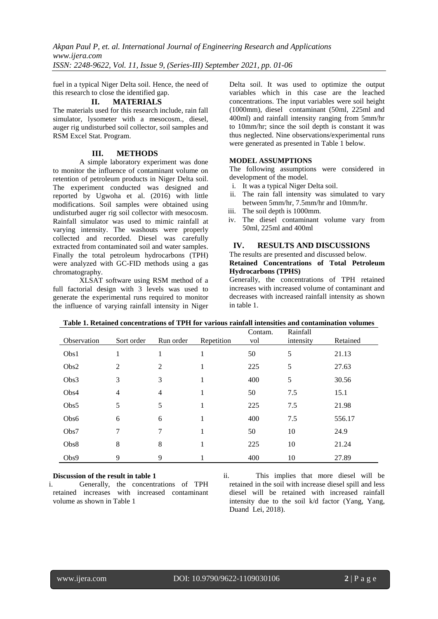fuel in a typical Niger Delta soil. Hence, the need of this research to close the identified gap.

## **II. MATERIALS**

The materials used for this research include, rain fall simulator, lysometer with a mesocosm., diesel, auger rig undisturbed soil collector, soil samples and RSM Excel Stat. Program.

# **III. METHODS**

A simple laboratory experiment was done to monitor the influence of contaminant volume on retention of petroleum products in Niger Delta soil. The experiment conducted was designed and reported by Ugwoha et al. (2016) with little modifications. Soil samples were obtained using undisturbed auger rig soil collector with mesocosm. Rainfall simulator was used to mimic rainfall at varying intensity. The washouts were properly collected and recorded. Diesel was carefully extracted from contaminated soil and water samples. Finally the total petroleum hydrocarbons (TPH) were analyzed with GC-FID methods using a gas chromatography.

XLSAT software using RSM method of a full factorial design with 3 levels was used to generate the experimental runs required to monitor the influence of varying rainfall intensity in Niger Delta soil. It was used to optimize the output variables which in this case are the leached concentrations. The input variables were soil height (1000mm), diesel contaminant (50ml, 225ml and 400ml) and rainfall intensity ranging from 5mm/hr to 10mm/hr; since the soil depth is constant it was thus neglected. Nine observations/experimental runs were generated as presented in Table 1 below.

# **MODEL ASSUMPTIONS**

The following assumptions were considered in development of the model.

- i. It was a typical Niger Delta soil.
- ii. The rain fall intensity was simulated to vary between 5mm/hr, 7.5mm/hr and 10mm/hr.
- iii. The soil depth is 1000mm.
- iv. The diesel contaminant volume vary from 50ml, 225ml and 400ml

# **IV. RESULTS AND DISCUSSIONS**

## The results are presented and discussed below. **Retained Concentrations of Total Petroleum Hydrocarbons (TPHS)**

Generally, the concentrations of TPH retained increases with increased volume of contaminant and decreases with increased rainfall intensity as shown in table 1.

| Observation | Sort order | Run order      | Repetition | Contam.<br>vol | Rainfall<br>intensity | Retained |
|-------------|------------|----------------|------------|----------------|-----------------------|----------|
| Obs1        | 1          | 1              | 1          | 50             | 5                     | 21.13    |
| Obs2        | 2          | 2              | 1          | 225            | 5                     | 27.63    |
| Obs3        | 3          | 3              |            | 400            | 5                     | 30.56    |
| Obs4        | 4          | $\overline{4}$ | 1          | 50             | 7.5                   | 15.1     |
| Obs5        | 5          | 5              |            | 225            | 7.5                   | 21.98    |
| Obs6        | 6          | 6              | 1          | 400            | 7.5                   | 556.17   |
| Obs7        | 7          | 7              |            | 50             | 10                    | 24.9     |
| Obs8        | 8          | 8              | 1          | 225            | 10                    | 21.24    |
| Obs9        | 9          | 9              |            | 400            | 10                    | 27.89    |

# **Table 1. Retained concentrations of TPH for various rainfall intensities and contamination volumes**

# **Discussion of the result in table 1**

i. Generally, the concentrations of TPH retained increases with increased contaminant volume as shown in Table 1

ii. This implies that more diesel will be retained in the soil with increase diesel spill and less diesel will be retained with increased rainfall intensity due to the soil k/d factor [\(Yang,](https://www.researchgate.net/scientific-contributions/2087860346_M_Yang) [Yang,](https://www.researchgate.net/profile/Yuesuo_Yang) [Dua](https://www.researchgate.net/profile/Xinqiang_Du)nd [Lei,](https://www.researchgate.net/scientific-contributions/2068225539_Y_Lei) 2018).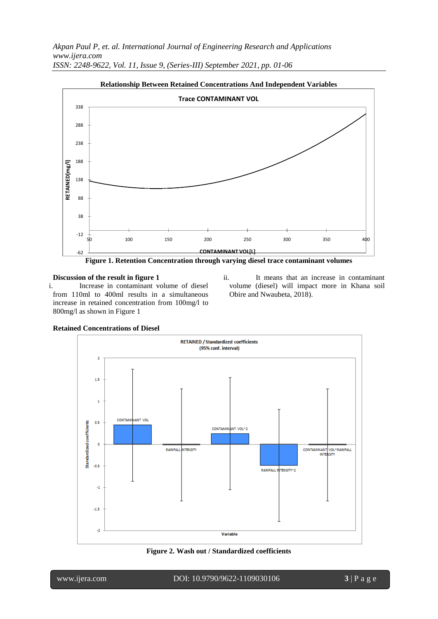

**Figure 1. Retention Concentration through varying diesel trace contaminant volumes**

# **Discussion of the result in figure 1** i. Increase in contaminant volume of diesel

from 110ml to 400ml results in a simultaneous increase in retained concentration from 100mg/l to 800mg/l as shown in Figure 1

ii. It means that an increase in contaminant volume (diesel) will impact more in Khana soil Obire and Nwaubeta, 2018).



**Retained Concentrations of Diesel**

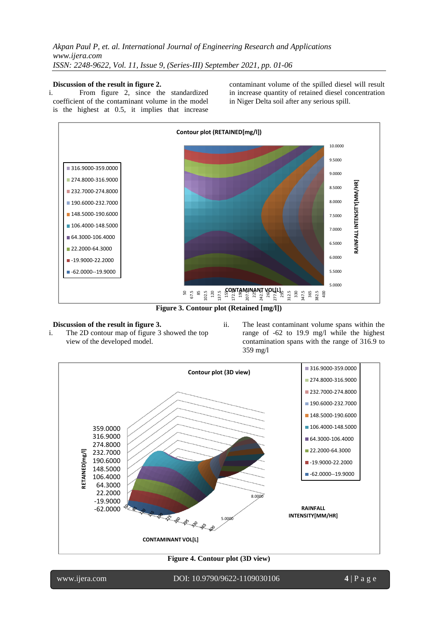## **Discussion of the result in figure 2.**

i. From figure 2, since the standardized coefficient of the contaminant volume in the model is the highest at 0.5, it implies that increase contaminant volume of the spilled diesel will result in increase quantity of retained diesel concentration in Niger Delta soil after any serious spill.



**Figure 3. Contour plot (Retained [mg/l])**

## **Discussion of the result in figure 3.**

- i. The 2D contour map of figure 3 showed the top view of the developed model.
- ii. The least contaminant volume spans within the range of -62 to 19.9 mg/l while the highest contamination spans with the range of 316.9 to 359 mg/l



**Figure 4. Contour plot (3D view)**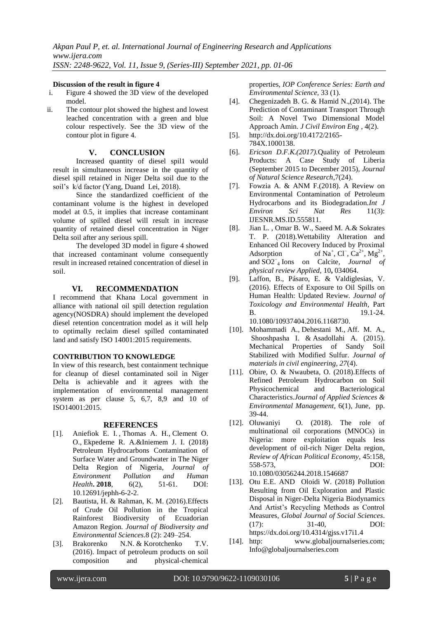### **Discussion of the result in figure 4**

- i. Figure 4 showed the 3D view of the developed model.
- ii. The contour plot showed the highest and lowest leached concentration with a green and blue colour respectively. See the 3D view of the contour plot in figure 4.

## **V. CONCLUSION**

Increased quantity of diesel spil1 would result in simultaneous increase in the quantity of diesel spill retained in Niger Delta soil due to the soil's k/d factor [\(Yang,](https://www.researchgate.net/profile/Yuesuo_Yang) [Dua](https://www.researchgate.net/profile/Xinqiang_Du)nd [Lei,](https://www.researchgate.net/scientific-contributions/2068225539_Y_Lei) 2018).

Since the standardized coefficient of the contaminant volume is the highest in developed model at 0.5, it implies that increase contaminant volume of spilled diesel will result in increase quantity of retained diesel concentration in Niger Delta soil after any serious spill.

The developed 3D model in figure 4 showed that increased contaminant volume consequently result in increased retained concentration of diesel in soil.

## **VI. RECOMMENDATION**

I recommend that Khana Local government in alliance with national oil spill detection regulation agency(NOSDRA) should implement the developed diesel retention concentration model as it will help to optimally reclaim diesel spilled contaminated land and satisfy ISO 14001:2015 requirements.

## **CONTRIBUTION TO KNOWLEDGE**

In view of this research, best containment technique for cleanup of diesel contaminated soil in Niger Delta is achievable and it agrees with the implementation of environmental management system as per clause 5, 6,7, 8,9 and 10 of ISO14001:2015.

## **REFERENCES**

- [1]. Aniefiok E. I. [,](http://pubs.sciepub.com/jephh/6/2/2/#Cor) Thomas A. H., Clement O. O., Ekpedeme R. A.&Iniemem J. I. (2018) Petroleum Hydrocarbons Contamination of Surface Water and Groundwater in The Niger Delta Region of Nigeria, *Journal of Environment Pollution and Human Health***. 2018**, 6(2), 51-61. DOI: 10.12691/jephh-6-2-2.
- [2]. Bautista, H. & Rahman, K. M. (2016).Effects of Crude Oil Pollution in the Tropical Rainforest Biodiversity of Ecuadorian Amazon Region*. Journal of Biodiversity and Environmental Sciences.*8 (2): 249–254.
- [3]. Brakorenko N.N. & Korotchenko T.V. (2016). Impact of petroleum products on soil composition and physical-chemical

properties, *[IOP Conference Series: Earth and](http://iopscience.iop.org/journal/1755-1315)  [Environmental Science](http://iopscience.iop.org/journal/1755-1315)*, [33](http://iopscience.iop.org/volume/1755-1315/33) (1).

- [4]. Chegenizadeh B. G. & Hamid N.,(2014). The Prediction of Contaminant Transport Through Soil: A Novel Two Dimensional Model Approach Amin. *J Civil Environ Eng* , 4(2).
- [5]. [http://dx.doi.org/10.4172/2165-](http://dx.doi.org/10.4172/2165-784X.1000138) [784X.1000138.](http://dx.doi.org/10.4172/2165-784X.1000138)
- [6]. *Ericson D.F.K.(2017).*Quality of Petroleum Products: A Case Study of Liberia (September 2015 to December 2015), *Journal of Natural Science Research*,7(24).
- [7]. Fowzia A. & ANM F.(2018). A Review on Environmental Contamination of Petroleum Hydrocarbons and its Biodegradation.*Int J Environ Sci Nat Res* 11(3): IJESNR.MS.ID.555811.
- [8]. Jian L. , Omar B. W., Saeed M. A.& Sokrates T. P. (2018).Wettability Alteration and Enhanced Oil Recovery Induced by Proximal Adsorption ,  $Cl^-$ ,  $Ca^{2+}$ , Mg<sup>2+</sup>, and SO2<sup>−</sup> <sup>4</sup> Ions on Calcite, *Journal of physical review Applied,* 10**,** 034064.
- [9]. Laffon, B., Pásaro, E. & Valdiglesias, V. (2016). Effects of Exposure to Oil Spills on Human Health: Updated Review. *Journal of Toxicology and Environmental Health*, Part B. 19.1-24. 10.1080/10937404.2016.1168730.
- [10]. [Mohammadi](https://ascelibrary.org/author/Mohammadi%2C+A) A., [Dehestani](https://ascelibrary.org/author/Dehestani%2C+M) M., Aff. M. A., [Shooshpasha](https://ascelibrary.org/author/Shooshpasha%2C+I) I. & [Asadollahi](https://ascelibrary.org/author/Asadollahi%2C+S) A. (2015). Mechanical Properties of Sandy Soil Stabilized with Modified Sulfur. *Journal of materials in civil engineering, 27*(4).
- [11]. Obire, O. & Nwaubeta, O. (2018).Effects of Refined Petroleum Hydrocarbon on Soil Physicochemical and Bacteriological Characteristics.*Journal of Applied Sciences & Environmental Management,* 6(1), June, pp. 39-44.
- [12]. Oluwaniyi O. (2018). The role of multinational oil corporations (MNOCs) in Nigeria: more exploitation equals less development of oil-rich Niger Delta region, *Review of African Political Economy*, 45:158, 558-573, DOI: 10.1080/03056244.2018.1546687
- [13]. Otu E.E. AND Oloidi W. (2018) Pollution Resulting from Oil Exploration and Plastic Disposal in Niger-Delta Nigeria Biodynamics And Artist's Recycling Methods as Control Measures, *Global Journal of Social Sciences*. (17): 31-40, DOI: https://dx.doi.org/10.4314/gjss.v17i1.4
- [14]. http: www.globaljournalseries.com; [Info@globaljournalseries.com](mailto:Info@globaljournalseries.com)